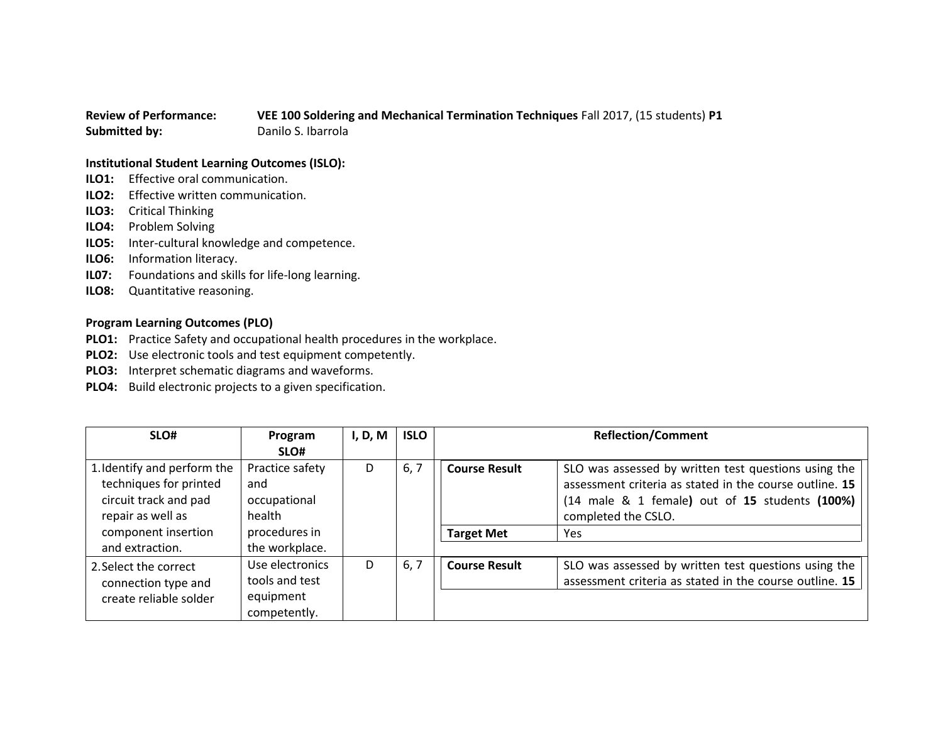## **Review of Performance: VEE 100 Soldering and Mechanical Termination Techniques** Fall 2017, (15 students) **P1 Submitted by:** Danilo S. Ibarrola

## **Institutional Student Learning Outcomes (ISLO):**

- **ILO1:** Effective oral communication.
- **ILO2:** Effective written communication.
- **ILO3:** Critical Thinking
- **ILO4:** Problem Solving
- **ILO5:** Inter-cultural knowledge and competence.
- **ILO6:** Information literacy.
- **IL07:** Foundations and skills for life-long learning.
- **ILO8:** Quantitative reasoning.

## **Program Learning Outcomes (PLO)**

- **PLO1:** Practice Safety and occupational health procedures in the workplace.
- **PLO2:** Use electronic tools and test equipment competently.
- **PLO3:** Interpret schematic diagrams and waveforms.
- **PLO4:** Build electronic projects to a given specification.

| SLO#                        | Program         | I, D, M | <b>ISLO</b> | <b>Reflection/Comment</b> |                                                                      |
|-----------------------------|-----------------|---------|-------------|---------------------------|----------------------------------------------------------------------|
|                             | SLO#            |         |             |                           |                                                                      |
| 1. Identify and perform the | Practice safety | D       | 6, 7        | <b>Course Result</b>      | SLO was assessed by written test questions using the                 |
| techniques for printed      | and             |         |             |                           | assessment criteria as stated in the course outline. 15              |
| circuit track and pad       | occupational    |         |             |                           | $(14 \text{ male } 8 \text{ 1 female})$ out of 15 students $(100\%)$ |
| repair as well as           | health          |         |             |                           | completed the CSLO.                                                  |
| component insertion         | procedures in   |         |             | <b>Target Met</b>         | Yes                                                                  |
| and extraction.             | the workplace.  |         |             |                           |                                                                      |
| 2. Select the correct       | Use electronics | D       | 6, 7        | <b>Course Result</b>      | SLO was assessed by written test questions using the                 |
| connection type and         | tools and test  |         |             |                           | assessment criteria as stated in the course outline. 15              |
| create reliable solder      | equipment       |         |             |                           |                                                                      |
|                             | competently.    |         |             |                           |                                                                      |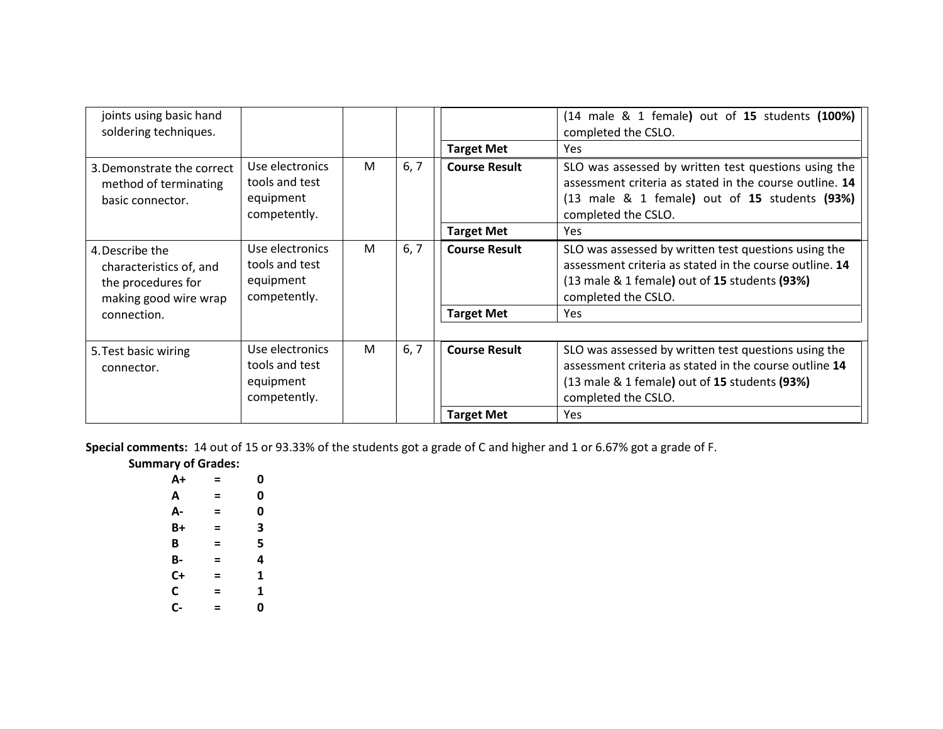| joints using basic hand<br>soldering techniques.                                          |                                                                |   |      | <b>Target Met</b>    | (14 male & 1 female) out of 15 students (100%)<br>completed the CSLO.<br><b>Yes</b>                                                                                                                           |
|-------------------------------------------------------------------------------------------|----------------------------------------------------------------|---|------|----------------------|---------------------------------------------------------------------------------------------------------------------------------------------------------------------------------------------------------------|
| 3. Demonstrate the correct<br>method of terminating<br>basic connector.                   | Use electronics<br>tools and test<br>equipment<br>competently. | M | 6, 7 | <b>Course Result</b> | SLO was assessed by written test questions using the<br>assessment criteria as stated in the course outline. 14<br>$(13 \text{ male } 8 \text{ 1 female})$ out of 15 students $(93\%)$<br>completed the CSLO. |
|                                                                                           |                                                                |   |      | <b>Target Met</b>    | <b>Yes</b>                                                                                                                                                                                                    |
| 4. Describe the<br>characteristics of, and<br>the procedures for<br>making good wire wrap | Use electronics<br>tools and test<br>equipment<br>competently. | M | 6, 7 | <b>Course Result</b> | SLO was assessed by written test questions using the<br>assessment criteria as stated in the course outline. 14<br>(13 male & 1 female) out of 15 students (93%)<br>completed the CSLO.                       |
| connection.                                                                               |                                                                |   |      | <b>Target Met</b>    | <b>Yes</b>                                                                                                                                                                                                    |
|                                                                                           |                                                                |   |      |                      |                                                                                                                                                                                                               |
| 5. Test basic wiring<br>connector.                                                        | Use electronics<br>tools and test<br>equipment<br>competently. | M | 6, 7 | <b>Course Result</b> | SLO was assessed by written test questions using the<br>assessment criteria as stated in the course outline 14<br>(13 male & 1 female) out of 15 students (93%)<br>completed the CSLO.                        |
|                                                                                           |                                                                |   |      | <b>Target Met</b>    | Yes                                                                                                                                                                                                           |

**Special comments:** 14 out of 15 or 93.33% of the students got a grade of C and higher and 1 or 6.67% got a grade of F.

| <b>Summary of Grades:</b> |  |
|---------------------------|--|
|                           |  |

| A+ | = | 0 |
|----|---|---|
| А  | = | 0 |
| А- | = | 0 |
| B+ | = | 3 |
| B  | Ξ | 5 |
| В- | = | 4 |
| C+ | = | 1 |
| C  | = | 1 |
| C- | = | 0 |